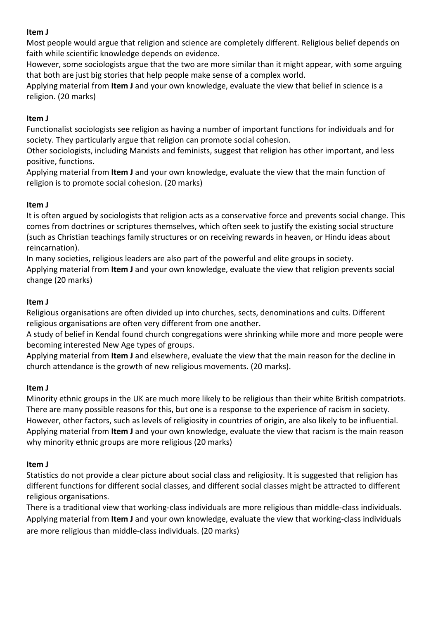Most people would argue that religion and science are completely different. Religious belief depends on faith while scientific knowledge depends on evidence.

However, some sociologists argue that the two are more similar than it might appear, with some arguing that both are just big stories that help people make sense of a complex world.

Applying material from **Item J** and your own knowledge, evaluate the view that belief in science is a religion. (20 marks)

# **Item J**

Functionalist sociologists see religion as having a number of important functions for individuals and for society. They particularly argue that religion can promote social cohesion.

Other sociologists, including Marxists and feminists, suggest that religion has other important, and less positive, functions.

Applying material from **Item J** and your own knowledge, evaluate the view that the main function of religion is to promote social cohesion. (20 marks)

## **Item J**

It is often argued by sociologists that religion acts as a conservative force and prevents social change. This comes from doctrines or scriptures themselves, which often seek to justify the existing social structure (such as Christian teachings family structures or on receiving rewards in heaven, or Hindu ideas about reincarnation).

In many societies, religious leaders are also part of the powerful and elite groups in society. Applying material from **Item J** and your own knowledge, evaluate the view that religion prevents social change (20 marks)

## **Item J**

Religious organisations are often divided up into churches, sects, denominations and cults. Different religious organisations are often very different from one another.

A study of belief in Kendal found church congregations were shrinking while more and more people were becoming interested New Age types of groups.

Applying material from **Item J** and elsewhere, evaluate the view that the main reason for the decline in church attendance is the growth of new religious movements. (20 marks).

### **Item J**

Minority ethnic groups in the UK are much more likely to be religious than their white British compatriots. There are many possible reasons for this, but one is a response to the experience of racism in society. However, other factors, such as levels of religiosity in countries of origin, are also likely to be influential. Applying material from **Item J** and your own knowledge, evaluate the view that racism is the main reason why minority ethnic groups are more religious (20 marks)

# **Item J**

Statistics do not provide a clear picture about social class and religiosity. It is suggested that religion has different functions for different social classes, and different social classes might be attracted to different religious organisations.

There is a traditional view that working-class individuals are more religious than middle-class individuals. Applying material from **Item J** and your own knowledge, evaluate the view that working-class individuals are more religious than middle-class individuals. (20 marks)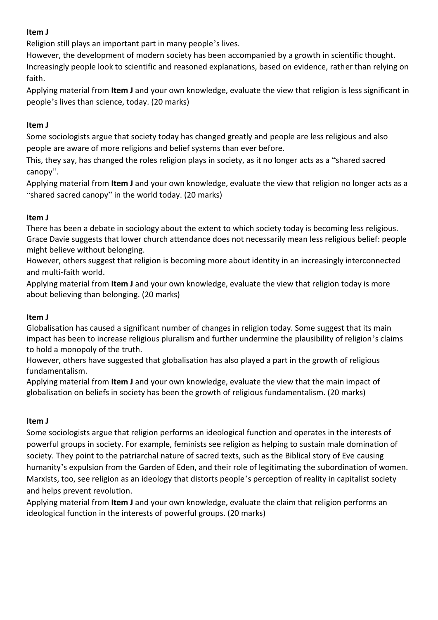Religion still plays an important part in many people's lives.

However, the development of modern society has been accompanied by a growth in scientific thought. Increasingly people look to scientific and reasoned explanations, based on evidence, rather than relying on faith.

Applying material from **Item J** and your own knowledge, evaluate the view that religion is less significant in people's lives than science, today. (20 marks)

## **Item J**

Some sociologists argue that society today has changed greatly and people are less religious and also people are aware of more religions and belief systems than ever before.

This, they say, has changed the roles religion plays in society, as it no longer acts as a "shared sacred canopy".

Applying material from **Item J** and your own knowledge, evaluate the view that religion no longer acts as a "shared sacred canopy" in the world today. (20 marks)

## **Item J**

There has been a debate in sociology about the extent to which society today is becoming less religious. Grace Davie suggests that lower church attendance does not necessarily mean less religious belief: people might believe without belonging.

However, others suggest that religion is becoming more about identity in an increasingly interconnected and multi-faith world.

Applying material from **Item J** and your own knowledge, evaluate the view that religion today is more about believing than belonging. (20 marks)

### **Item J**

Globalisation has caused a significant number of changes in religion today. Some suggest that its main impact has been to increase religious pluralism and further undermine the plausibility of religion's claims to hold a monopoly of the truth.

However, others have suggested that globalisation has also played a part in the growth of religious fundamentalism.

Applying material from **Item J** and your own knowledge, evaluate the view that the main impact of globalisation on beliefs in society has been the growth of religious fundamentalism. (20 marks)

### **Item J**

Some sociologists argue that religion performs an ideological function and operates in the interests of powerful groups in society. For example, feminists see religion as helping to sustain male domination of society. They point to the patriarchal nature of sacred texts, such as the Biblical story of Eve causing humanity's expulsion from the Garden of Eden, and their role of legitimating the subordination of women. Marxists, too, see religion as an ideology that distorts people's perception of reality in capitalist society and helps prevent revolution.

Applying material from **Item J** and your own knowledge, evaluate the claim that religion performs an ideological function in the interests of powerful groups. (20 marks)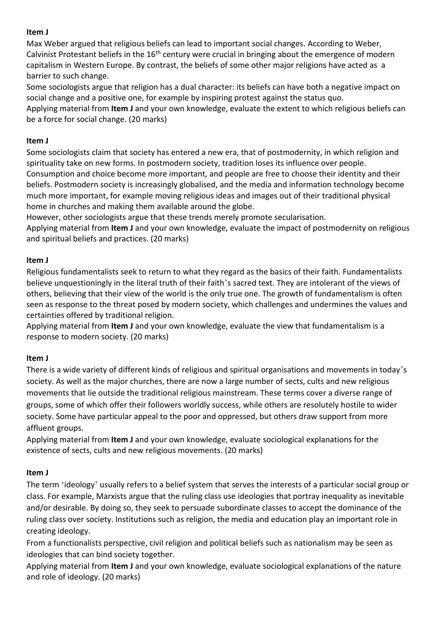Max Weber argued that religious beliefs can lead to important social changes. According to Weber, Calvinist Protestant beliefs in the 16<sup>th</sup> century were crucial in bringing about the emergence of modern capitalism in Western Europe. By contrast, the beliefs of some other major religions have acted as a barrier to such change.

Some sociologists argue that religion has a dual character: its beliefs can have both a negative impact on social change and a positive one, for example by inspiring protest against the status quo.

Applying material from **Item J** and your own knowledge, evaluate the extent to which religious beliefs can be a force for social change. (20 marks)

# **Item J**

Some sociologists claim that society has entered a new era, that of postmodernity, in which religion and spirituality take on new forms. In postmodern society, tradition loses its influence over people. Consumption and choice become more important, and people are free to choose their identity and their beliefs. Postmodern society is increasingly globalised, and the media and information technology become much more important, for example moving religious ideas and images out of their traditional physical home in churches and making them available around the globe.

However, other sociologists argue that these trends merely promote secularisation.

Applying material from **Item J** and your own knowledge, evaluate the impact of postmodernity on religious and spiritual beliefs and practices. (20 marks)

# **Item J**

Religious fundamentalists seek to return to what they regard as the basics of their faith. Fundamentalists believe unquestioningly in the literal truth of their faith's sacred text. They are intolerant of the views of others, believing that their view of the world is the only true one. The growth of fundamentalism is often seen as response to the threat posed by modern society, which challenges and undermines the values and certainties offered by traditional religion.

Applying material from **Item J** and your own knowledge, evaluate the view that fundamentalism is a response to modern society. (20 marks)

# **Item J**

There is a wide variety of different kinds of religious and spiritual organisations and movements in today's society. As well as the major churches, there are now a large number of sects, cults and new religious movements that lie outside the traditional religious mainstream. These terms cover a diverse range of groups, some of which offer their followers worldly success, while others are resolutely hostile to wider society. Some have particular appeal to the poor and oppressed, but others draw support from more affluent groups.

Applying material from **Item J** and your own knowledge, evaluate sociological explanations for the existence of sects, cults and new religious movements. (20 marks)

# **Item J**

The term 'ideology' usually refers to a belief system that serves the interests of a particular social group or class. For example, Marxists argue that the ruling class use ideologies that portray inequality as inevitable and/or desirable. By doing so, they seek to persuade subordinate classes to accept the dominance of the ruling class over society. Institutions such as religion, the media and education play an important role in creating ideology.

From a functionalists perspective, civil religion and political beliefs such as nationalism may be seen as ideologies that can bind society together.

Applying material from **Item J** and your own knowledge, evaluate sociological explanations of the nature and role of ideology. (20 marks)